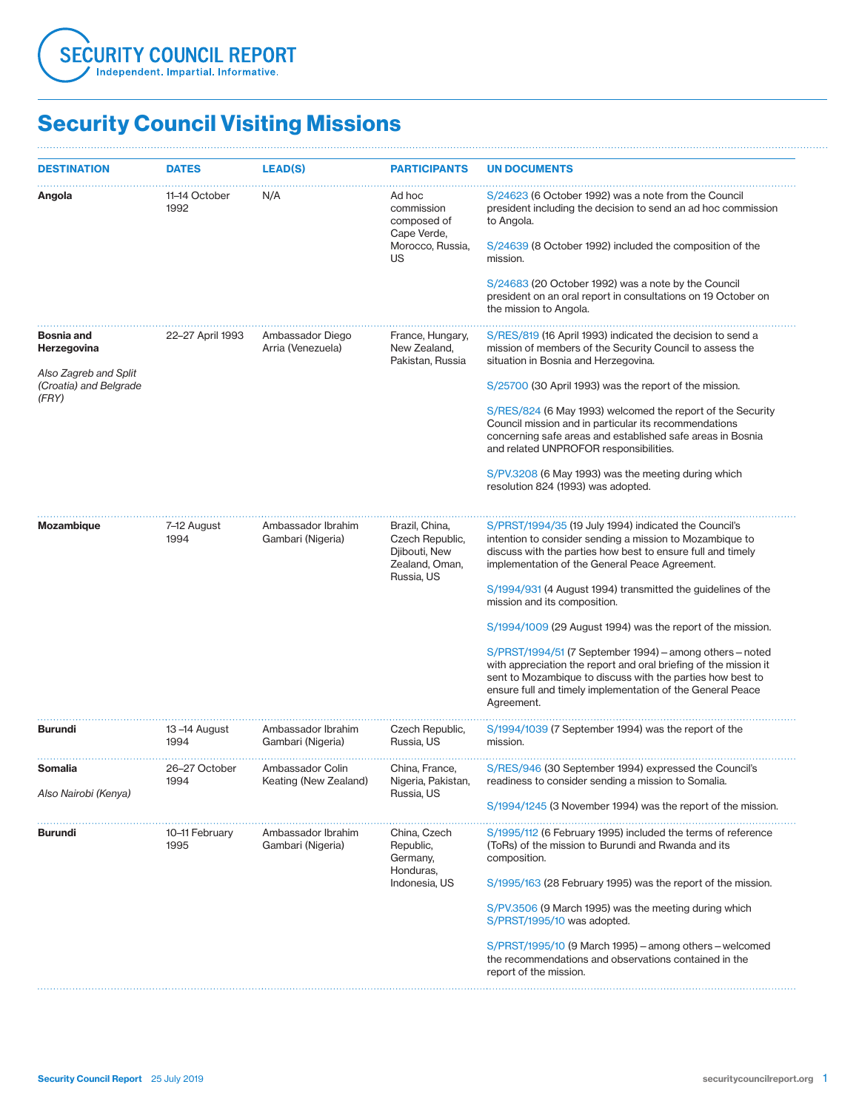

| <b>DESTINATION</b>                              | <b>DATES</b>                             | <b>LEAD(S)</b>                            | <b>PARTICIPANTS</b>                                                                | <b>UN DOCUMENTS</b>                                                                                                                                                                                                                                                    |
|-------------------------------------------------|------------------------------------------|-------------------------------------------|------------------------------------------------------------------------------------|------------------------------------------------------------------------------------------------------------------------------------------------------------------------------------------------------------------------------------------------------------------------|
| Angola                                          | 11–14 October<br>1992                    | N/A                                       | Ad hoc<br>commission<br>composed of<br>Cape Verde,                                 | S/24623 (6 October 1992) was a note from the Council<br>president including the decision to send an ad hoc commission<br>to Angola.                                                                                                                                    |
|                                                 |                                          |                                           | Morocco, Russia,<br>US                                                             | S/24639 (8 October 1992) included the composition of the<br>mission.                                                                                                                                                                                                   |
|                                                 |                                          |                                           |                                                                                    | S/24683 (20 October 1992) was a note by the Council<br>president on an oral report in consultations on 19 October on<br>the mission to Angola.                                                                                                                         |
| <b>Bosnia and</b><br>Herzegovina                | 22–27 April 1993                         | Ambassador Diego<br>Arria (Venezuela)     | France, Hungary,<br>New Zealand,<br>Pakistan, Russia                               | S/RES/819 (16 April 1993) indicated the decision to send a<br>mission of members of the Security Council to assess the<br>situation in Bosnia and Herzegovina.                                                                                                         |
| Also Zagreb and Split<br>(Croatia) and Belgrade |                                          |                                           |                                                                                    | S/25700 (30 April 1993) was the report of the mission.                                                                                                                                                                                                                 |
| (FRY)                                           |                                          |                                           |                                                                                    | S/RES/824 (6 May 1993) welcomed the report of the Security<br>Council mission and in particular its recommendations<br>concerning safe areas and established safe areas in Bosnia<br>and related UNPROFOR responsibilities.                                            |
|                                                 |                                          |                                           |                                                                                    | S/PV.3208 (6 May 1993) was the meeting during which<br>resolution 824 (1993) was adopted.                                                                                                                                                                              |
| <b>Mozambique</b>                               | 7-12 August<br>1994<br>Gambari (Nigeria) | Ambassador Ibrahim                        | Brazil, China,<br>Czech Republic,<br>Djibouti, New<br>Zealand, Oman,<br>Russia, US | S/PRST/1994/35 (19 July 1994) indicated the Council's<br>intention to consider sending a mission to Mozambique to<br>discuss with the parties how best to ensure full and timely<br>implementation of the General Peace Agreement.                                     |
|                                                 |                                          |                                           |                                                                                    | S/1994/931 (4 August 1994) transmitted the guidelines of the<br>mission and its composition.                                                                                                                                                                           |
|                                                 |                                          |                                           |                                                                                    | S/1994/1009 (29 August 1994) was the report of the mission.                                                                                                                                                                                                            |
|                                                 |                                          |                                           |                                                                                    | S/PRST/1994/51 (7 September 1994) – among others – noted<br>with appreciation the report and oral briefing of the mission it<br>sent to Mozambique to discuss with the parties how best to<br>ensure full and timely implementation of the General Peace<br>Agreement. |
| <b>Burundi</b>                                  | 13-14 August<br>1994                     | Ambassador Ibrahim<br>Gambari (Nigeria)   | Czech Republic,<br>Russia, US                                                      | S/1994/1039 (7 September 1994) was the report of the<br>mission.                                                                                                                                                                                                       |
| Somalia                                         | 26-27 October<br>1994                    | Ambassador Colin<br>Keating (New Zealand) | China, France,<br>Nigeria, Pakistan,                                               | S/RES/946 (30 September 1994) expressed the Council's<br>readiness to consider sending a mission to Somalia.                                                                                                                                                           |
| Also Nairobi (Kenya)                            |                                          |                                           | Russia, US                                                                         | S/1994/1245 (3 November 1994) was the report of the mission.                                                                                                                                                                                                           |
| <b>Burundi</b>                                  | 10-11 February<br>1995                   | Ambassador Ibrahim<br>Gambari (Nigeria)   | China, Czech<br>Republic,<br>Germany,<br>Honduras,                                 | S/1995/112 (6 February 1995) included the terms of reference<br>(ToRs) of the mission to Burundi and Rwanda and its<br>composition.                                                                                                                                    |
|                                                 |                                          |                                           | Indonesia, US                                                                      | S/1995/163 (28 February 1995) was the report of the mission.                                                                                                                                                                                                           |
|                                                 |                                          |                                           |                                                                                    | S/PV.3506 (9 March 1995) was the meeting during which<br>S/PRST/1995/10 was adopted.                                                                                                                                                                                   |
|                                                 |                                          |                                           |                                                                                    | $S/PRST/1995/10$ (9 March 1995) – among others – welcomed<br>the recommendations and observations contained in the<br>report of the mission.                                                                                                                           |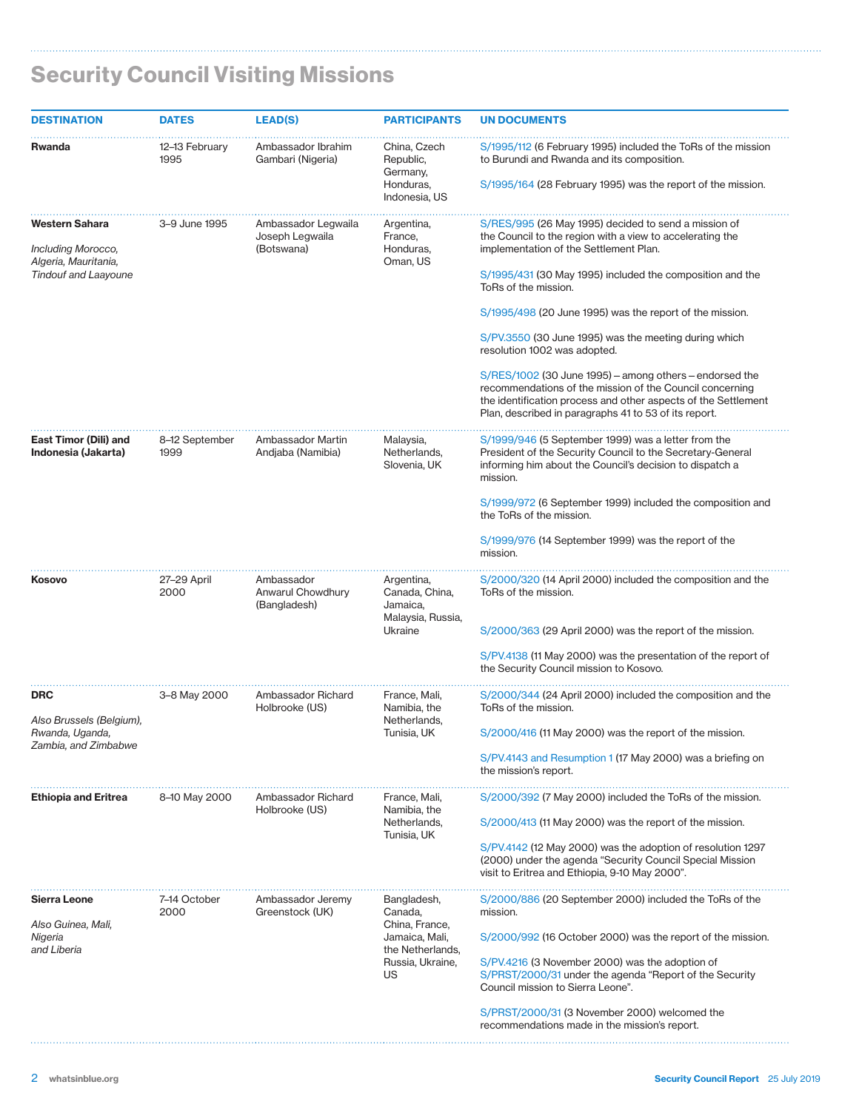| <b>DESTINATION</b>                                                  | <b>DATES</b>           | <b>LEAD(S)</b>                                       | <b>PARTICIPANTS</b>                                                 | <b>UN DOCUMENTS</b>                                                                                                                                                                                                                              |
|---------------------------------------------------------------------|------------------------|------------------------------------------------------|---------------------------------------------------------------------|--------------------------------------------------------------------------------------------------------------------------------------------------------------------------------------------------------------------------------------------------|
| <b>Rwanda</b>                                                       | 12-13 February<br>1995 | Ambassador Ibrahim<br>Gambari (Nigeria)              | China, Czech<br>Republic,<br>Germany,<br>Honduras,<br>Indonesia, US | S/1995/112 (6 February 1995) included the ToRs of the mission<br>to Burundi and Rwanda and its composition.<br>S/1995/164 (28 February 1995) was the report of the mission.                                                                      |
| Western Sahara<br>Including Morocco,<br>Algeria, Mauritania,        | 3-9 June 1995          | Ambassador Legwaila<br>Joseph Legwaila<br>(Botswana) | Argentina,<br>France,<br>Honduras,<br>Oman, US                      | S/RES/995 (26 May 1995) decided to send a mission of<br>the Council to the region with a view to accelerating the<br>implementation of the Settlement Plan.                                                                                      |
| <b>Tindouf and Laayoune</b>                                         |                        |                                                      |                                                                     | S/1995/431 (30 May 1995) included the composition and the<br>ToRs of the mission.                                                                                                                                                                |
|                                                                     |                        |                                                      |                                                                     | S/1995/498 (20 June 1995) was the report of the mission.                                                                                                                                                                                         |
|                                                                     |                        |                                                      |                                                                     | S/PV.3550 (30 June 1995) was the meeting during which<br>resolution 1002 was adopted.                                                                                                                                                            |
|                                                                     |                        |                                                      |                                                                     | $S/RES/1002$ (30 June 1995) – among others – endorsed the<br>recommendations of the mission of the Council concerning<br>the identification process and other aspects of the Settlement<br>Plan, described in paragraphs 41 to 53 of its report. |
| East Timor (Dili) and<br>Indonesia (Jakarta)                        | 8-12 September<br>1999 | Ambassador Martin<br>Andjaba (Namibia)               | Malaysia,<br>Netherlands,<br>Slovenia, UK                           | S/1999/946 (5 September 1999) was a letter from the<br>President of the Security Council to the Secretary-General<br>informing him about the Council's decision to dispatch a<br>mission.                                                        |
|                                                                     |                        |                                                      |                                                                     | S/1999/972 (6 September 1999) included the composition and<br>the ToRs of the mission.                                                                                                                                                           |
|                                                                     |                        |                                                      |                                                                     | S/1999/976 (14 September 1999) was the report of the<br>mission.                                                                                                                                                                                 |
| Kosovo                                                              | 27-29 April<br>2000    | Ambassador<br>Anwarul Chowdhury<br>(Bangladesh)      | Argentina,<br>Canada, China,<br>Jamaica,<br>Malaysia, Russia,       | S/2000/320 (14 April 2000) included the composition and the<br>ToRs of the mission.                                                                                                                                                              |
|                                                                     |                        |                                                      | Ukraine                                                             | S/2000/363 (29 April 2000) was the report of the mission.                                                                                                                                                                                        |
|                                                                     |                        |                                                      |                                                                     | S/PV.4138 (11 May 2000) was the presentation of the report of<br>the Security Council mission to Kosovo.                                                                                                                                         |
| <b>DRC</b>                                                          | 3-8 May 2000           | Ambassador Richard<br>Holbrooke (US)                 | France, Mali,<br>Namibia, the                                       | S/2000/344 (24 April 2000) included the composition and the<br>ToRs of the mission.                                                                                                                                                              |
| Also Brussels (Belgium),<br>Rwanda, Uganda,<br>Zambia, and Zimbabwe |                        |                                                      | Netherlands,<br>Tunisia, UK                                         | S/2000/416 (11 May 2000) was the report of the mission.                                                                                                                                                                                          |
|                                                                     |                        |                                                      |                                                                     | S/PV.4143 and Resumption 1 (17 May 2000) was a briefing on<br>the mission's report.                                                                                                                                                              |
| <b>Ethiopia and Eritrea</b>                                         | 8-10 May 2000          | Ambassador Richard<br>Holbrooke (US)                 | France, Mali,<br>Namibia, the                                       | S/2000/392 (7 May 2000) included the ToRs of the mission.                                                                                                                                                                                        |
|                                                                     |                        |                                                      | Netherlands,<br>Tunisia, UK                                         | S/2000/413 (11 May 2000) was the report of the mission.                                                                                                                                                                                          |
|                                                                     |                        |                                                      |                                                                     | S/PV.4142 (12 May 2000) was the adoption of resolution 1297<br>(2000) under the agenda "Security Council Special Mission<br>visit to Eritrea and Ethiopia, 9-10 May 2000".                                                                       |
| Sierra Leone                                                        | 7-14 October<br>2000   | Ambassador Jeremy<br>Greenstock (UK)                 | Bangladesh,<br>Canada,                                              | S/2000/886 (20 September 2000) included the ToRs of the<br>mission.                                                                                                                                                                              |
| Also Guinea, Mali,<br>Nigeria<br>and Liberia                        |                        |                                                      | China, France,<br>Jamaica, Mali,<br>the Netherlands,                | S/2000/992 (16 October 2000) was the report of the mission.                                                                                                                                                                                      |
|                                                                     |                        |                                                      | Russia, Ukraine,<br>US                                              | S/PV.4216 (3 November 2000) was the adoption of<br>S/PRST/2000/31 under the agenda "Report of the Security<br>Council mission to Sierra Leone".                                                                                                  |
|                                                                     |                        |                                                      |                                                                     | S/PRST/2000/31 (3 November 2000) welcomed the<br>recommendations made in the mission's report.                                                                                                                                                   |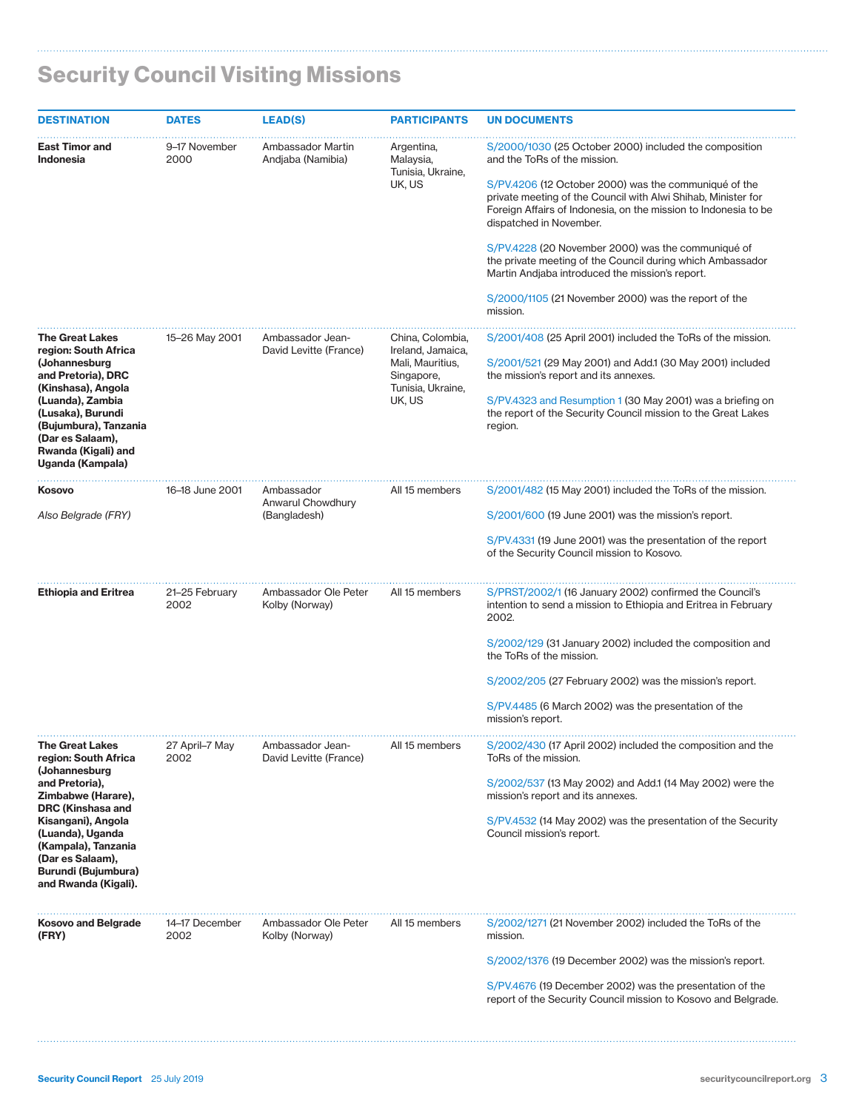| <b>DESTINATION</b>                                                                                                                                                                                                                                               | <b>DATES</b>           | <b>LEAD(S)</b>                                  | <b>PARTICIPANTS</b>                                                                                    | <b>UN DOCUMENTS</b>                                                                                                                                                                                                                                                                                                                                                                                                                                                                                                                                       |
|------------------------------------------------------------------------------------------------------------------------------------------------------------------------------------------------------------------------------------------------------------------|------------------------|-------------------------------------------------|--------------------------------------------------------------------------------------------------------|-----------------------------------------------------------------------------------------------------------------------------------------------------------------------------------------------------------------------------------------------------------------------------------------------------------------------------------------------------------------------------------------------------------------------------------------------------------------------------------------------------------------------------------------------------------|
| <b>East Timor and</b><br><b>Indonesia</b>                                                                                                                                                                                                                        | 9-17 November<br>2000  | Ambassador Martin<br>Andjaba (Namibia)          | Argentina,<br>Malaysia,<br>Tunisia, Ukraine,<br>UK, US                                                 | S/2000/1030 (25 October 2000) included the composition<br>and the ToRs of the mission.<br>S/PV.4206 (12 October 2000) was the communiqué of the<br>private meeting of the Council with Alwi Shihab, Minister for<br>Foreign Affairs of Indonesia, on the mission to Indonesia to be<br>dispatched in November.<br>S/PV.4228 (20 November 2000) was the communiqué of<br>the private meeting of the Council during which Ambassador<br>Martin Andjaba introduced the mission's report.<br>S/2000/1105 (21 November 2000) was the report of the<br>mission. |
| <b>The Great Lakes</b><br>region: South Africa<br>(Johannesburg<br>and Pretoria), DRC<br>(Kinshasa), Angola<br>(Luanda), Zambia<br>(Lusaka), Burundi<br>(Bujumbura), Tanzania<br>(Dar es Salaam),<br>Rwanda (Kigali) and<br>Uganda (Kampala)                     | 15-26 May 2001         | Ambassador Jean-<br>David Levitte (France)      | China, Colombia,<br>Ireland, Jamaica,<br>Mali, Mauritius,<br>Singapore,<br>Tunisia, Ukraine,<br>UK, US | S/2001/408 (25 April 2001) included the ToRs of the mission.<br>S/2001/521 (29 May 2001) and Add.1 (30 May 2001) included<br>the mission's report and its annexes.<br>S/PV.4323 and Resumption 1 (30 May 2001) was a briefing on<br>the report of the Security Council mission to the Great Lakes<br>region.                                                                                                                                                                                                                                              |
| Kosovo<br>Also Belgrade (FRY)                                                                                                                                                                                                                                    | 16-18 June 2001        | Ambassador<br>Anwarul Chowdhury<br>(Bangladesh) | All 15 members                                                                                         | S/2001/482 (15 May 2001) included the ToRs of the mission.<br>S/2001/600 (19 June 2001) was the mission's report.<br>S/PV.4331 (19 June 2001) was the presentation of the report<br>of the Security Council mission to Kosovo.                                                                                                                                                                                                                                                                                                                            |
| <b>Ethiopia and Eritrea</b>                                                                                                                                                                                                                                      | 21-25 February<br>2002 | Ambassador Ole Peter<br>Kolby (Norway)          | All 15 members                                                                                         | S/PRST/2002/1 (16 January 2002) confirmed the Council's<br>intention to send a mission to Ethiopia and Eritrea in February<br>2002.<br>S/2002/129 (31 January 2002) included the composition and<br>the ToRs of the mission.<br>S/2002/205 (27 February 2002) was the mission's report.<br>S/PV.4485 (6 March 2002) was the presentation of the<br>mission's report.                                                                                                                                                                                      |
| <b>The Great Lakes</b><br>region: South Africa<br>(Johannesburg<br>and Pretoria),<br>Zimbabwe (Harare),<br>DRC (Kinshasa and<br>Kisangani), Angola<br>(Luanda), Uganda<br>(Kampala), Tanzania<br>(Dar es Salaam),<br>Burundi (Bujumbura)<br>and Rwanda (Kigali). | 27 April-7 May<br>2002 | Ambassador Jean-<br>David Levitte (France)      | All 15 members                                                                                         | S/2002/430 (17 April 2002) included the composition and the<br>ToRs of the mission.<br>S/2002/537 (13 May 2002) and Add.1 (14 May 2002) were the<br>mission's report and its annexes.<br>S/PV.4532 (14 May 2002) was the presentation of the Security<br>Council mission's report.                                                                                                                                                                                                                                                                        |
| <b>Kosovo and Belgrade</b><br>(FRY)                                                                                                                                                                                                                              | 14–17 December<br>2002 | Ambassador Ole Peter<br>Kolby (Norway)          | All 15 members                                                                                         | S/2002/1271 (21 November 2002) included the ToRs of the<br>mission.<br>S/2002/1376 (19 December 2002) was the mission's report.<br>S/PV.4676 (19 December 2002) was the presentation of the<br>report of the Security Council mission to Kosovo and Belgrade.                                                                                                                                                                                                                                                                                             |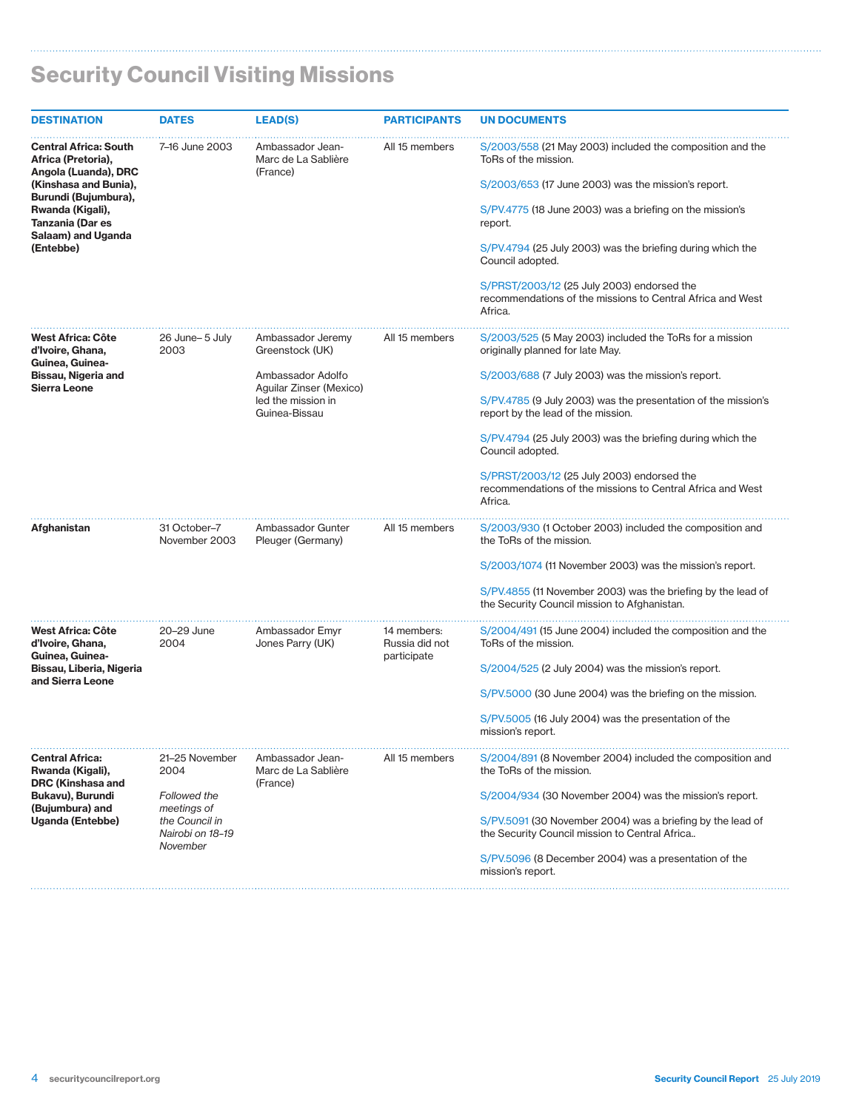| <b>DESTINATION</b>                                                                                                       | <b>DATES</b>                       | <b>LEAD(S)</b>                                      | <b>PARTICIPANTS</b>           | <b>UN DOCUMENTS</b>                                                                                                 |
|--------------------------------------------------------------------------------------------------------------------------|------------------------------------|-----------------------------------------------------|-------------------------------|---------------------------------------------------------------------------------------------------------------------|
| <b>Central Africa: South</b><br>Africa (Pretoria),<br>Angola (Luanda), DRC                                               | 7-16 June 2003                     | Ambassador Jean-<br>Marc de La Sablière<br>(France) | All 15 members                | S/2003/558 (21 May 2003) included the composition and the<br>ToRs of the mission.                                   |
| (Kinshasa and Bunia),<br>Burundi (Bujumbura),<br>Rwanda (Kigali),<br>Tanzania (Dar es<br>Salaam) and Uganda<br>(Entebbe) |                                    |                                                     |                               | S/2003/653 (17 June 2003) was the mission's report.                                                                 |
|                                                                                                                          |                                    |                                                     |                               | S/PV.4775 (18 June 2003) was a briefing on the mission's<br>report.                                                 |
|                                                                                                                          |                                    |                                                     |                               | S/PV.4794 (25 July 2003) was the briefing during which the<br>Council adopted.                                      |
|                                                                                                                          |                                    |                                                     |                               | S/PRST/2003/12 (25 July 2003) endorsed the<br>recommendations of the missions to Central Africa and West<br>Africa. |
| West Africa: Côte<br>d'Ivoire, Ghana,<br>Guinea, Guinea-                                                                 | 26 June-5 July<br>2003             | Ambassador Jeremy<br>Greenstock (UK)                | All 15 members                | S/2003/525 (5 May 2003) included the ToRs for a mission<br>originally planned for late May.                         |
| Bissau, Nigeria and<br><b>Sierra Leone</b>                                                                               |                                    | Ambassador Adolfo<br>Aguilar Zinser (Mexico)        |                               | S/2003/688 (7 July 2003) was the mission's report.                                                                  |
|                                                                                                                          |                                    | led the mission in<br>Guinea-Bissau                 |                               | S/PV.4785 (9 July 2003) was the presentation of the mission's<br>report by the lead of the mission.                 |
|                                                                                                                          |                                    |                                                     |                               | S/PV.4794 (25 July 2003) was the briefing during which the<br>Council adopted.                                      |
|                                                                                                                          |                                    |                                                     |                               | S/PRST/2003/12 (25 July 2003) endorsed the<br>recommendations of the missions to Central Africa and West<br>Africa. |
| Afghanistan                                                                                                              | 31 October-7<br>November 2003      | Ambassador Gunter<br>Pleuger (Germany)              | All 15 members                | S/2003/930 (1 October 2003) included the composition and<br>the ToRs of the mission.                                |
|                                                                                                                          |                                    |                                                     |                               | S/2003/1074 (11 November 2003) was the mission's report.                                                            |
|                                                                                                                          |                                    |                                                     |                               | S/PV.4855 (11 November 2003) was the briefing by the lead of<br>the Security Council mission to Afghanistan.        |
| West Africa: Côte<br>d'Ivoire, Ghana,                                                                                    | 20-29 June<br>2004                 | Ambassador Emyr<br>Jones Parry (UK)                 | 14 members:<br>Russia did not | S/2004/491 (15 June 2004) included the composition and the<br>ToRs of the mission.                                  |
| Guinea, Guinea-<br>Bissau, Liberia, Nigeria<br>and Sierra Leone                                                          |                                    |                                                     | participate                   | S/2004/525 (2 July 2004) was the mission's report.                                                                  |
|                                                                                                                          |                                    |                                                     |                               | S/PV.5000 (30 June 2004) was the briefing on the mission.                                                           |
|                                                                                                                          |                                    |                                                     |                               | S/PV.5005 (16 July 2004) was the presentation of the<br>mission's report.                                           |
| <b>Central Africa:</b><br>Rwanda (Kigali),<br>DRC (Kinshasa and                                                          | 21-25 November<br>2004             | Ambassador Jean-<br>Marc de La Sablière<br>(France) | All 15 members                | S/2004/891 (8 November 2004) included the composition and<br>the ToRs of the mission.                               |
| Bukavu), Burundi<br>(Bujumbura) and                                                                                      | <b>Followed the</b><br>meetings of |                                                     |                               | S/2004/934 (30 November 2004) was the mission's report.                                                             |
| <b>Uganda (Entebbe)</b>                                                                                                  | the Council in<br>Nairobi on 18-19 |                                                     |                               | S/PV.5091 (30 November 2004) was a briefing by the lead of<br>the Security Council mission to Central Africa        |
|                                                                                                                          | November                           |                                                     |                               | S/PV.5096 (8 December 2004) was a presentation of the<br>mission's report.                                          |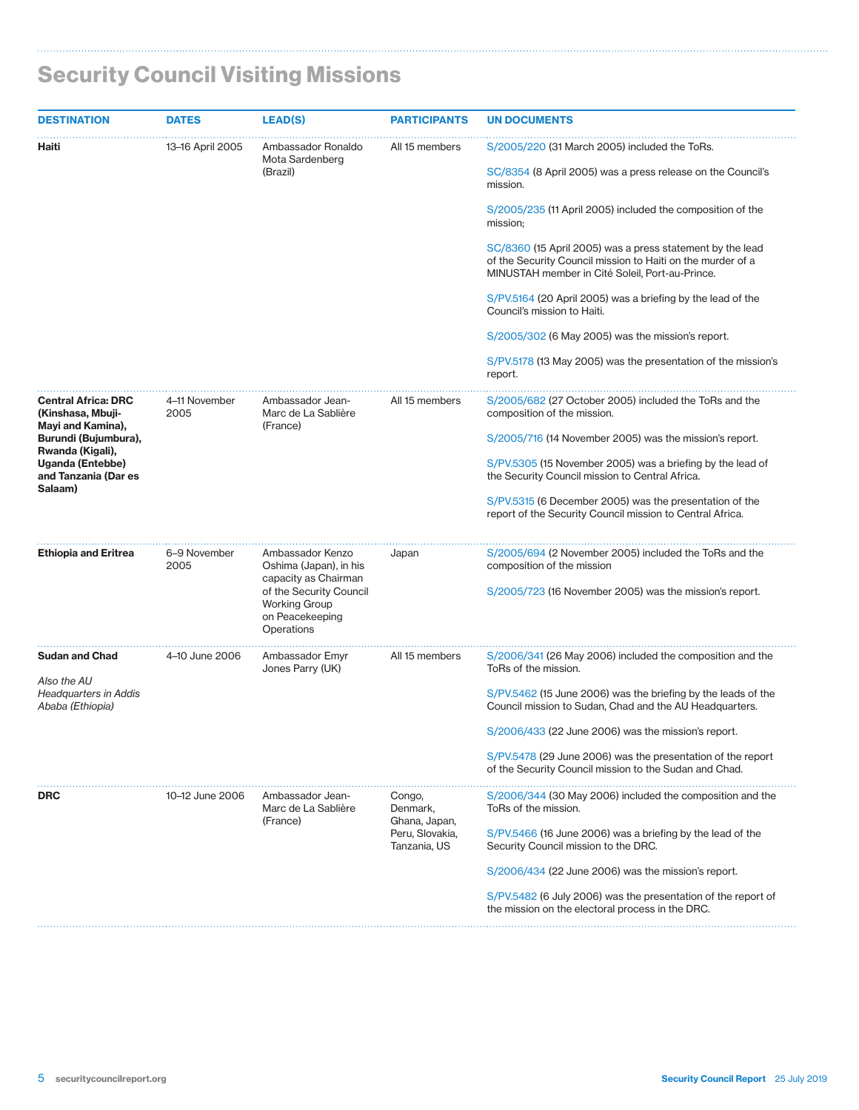$\mathbf{r}$ 

| <b>DESTINATION</b>                                                   | <b>DATES</b>                                                                     | <b>LEAD(S)</b>                                                     | <b>PARTICIPANTS</b>                                     | <b>UN DOCUMENTS</b>                                                                                                                                                                     |
|----------------------------------------------------------------------|----------------------------------------------------------------------------------|--------------------------------------------------------------------|---------------------------------------------------------|-----------------------------------------------------------------------------------------------------------------------------------------------------------------------------------------|
| Haiti                                                                | 13-16 April 2005                                                                 | Ambassador Ronaldo<br>Mota Sardenberg<br>(Brazil)                  | All 15 members                                          | S/2005/220 (31 March 2005) included the ToRs.<br>SC/8354 (8 April 2005) was a press release on the Council's                                                                            |
|                                                                      |                                                                                  |                                                                    |                                                         | mission.<br>S/2005/235 (11 April 2005) included the composition of the                                                                                                                  |
|                                                                      |                                                                                  |                                                                    |                                                         | mission;<br>SC/8360 (15 April 2005) was a press statement by the lead<br>of the Security Council mission to Haiti on the murder of a<br>MINUSTAH member in Cité Soleil, Port-au-Prince. |
|                                                                      |                                                                                  |                                                                    |                                                         | S/PV.5164 (20 April 2005) was a briefing by the lead of the<br>Council's mission to Haiti.                                                                                              |
|                                                                      |                                                                                  |                                                                    |                                                         | S/2005/302 (6 May 2005) was the mission's report.                                                                                                                                       |
|                                                                      |                                                                                  |                                                                    |                                                         | S/PV.5178 (13 May 2005) was the presentation of the mission's<br>report.                                                                                                                |
| <b>Central Africa: DRC</b><br>(Kinshasa, Mbuji-<br>Mayi and Kamina), | 4-11 November<br>2005                                                            | Ambassador Jean-<br>Marc de La Sablière<br>(France)                | All 15 members                                          | S/2005/682 (27 October 2005) included the ToRs and the<br>composition of the mission.                                                                                                   |
| Burundi (Bujumbura),                                                 |                                                                                  |                                                                    |                                                         | S/2005/716 (14 November 2005) was the mission's report.                                                                                                                                 |
| Rwanda (Kigali),<br><b>Uganda (Entebbe)</b><br>and Tanzania (Dar es  |                                                                                  |                                                                    |                                                         | S/PV.5305 (15 November 2005) was a briefing by the lead of<br>the Security Council mission to Central Africa.                                                                           |
| Salaam)                                                              |                                                                                  |                                                                    |                                                         | S/PV.5315 (6 December 2005) was the presentation of the<br>report of the Security Council mission to Central Africa.                                                                    |
| <b>Ethiopia and Eritrea</b>                                          | 6-9 November<br>2005                                                             | Ambassador Kenzo<br>Oshima (Japan), in his<br>capacity as Chairman | Japan                                                   | S/2005/694 (2 November 2005) included the ToRs and the<br>composition of the mission                                                                                                    |
|                                                                      | of the Security Council<br><b>Working Group</b><br>on Peacekeeping<br>Operations |                                                                    | S/2005/723 (16 November 2005) was the mission's report. |                                                                                                                                                                                         |
| <b>Sudan and Chad</b>                                                | 4–10 June 2006                                                                   | Ambassador Emyr<br>Jones Parry (UK)                                | All 15 members                                          | S/2006/341 (26 May 2006) included the composition and the<br>ToRs of the mission.                                                                                                       |
| Also the AU<br><b>Headquarters in Addis</b><br>Ababa (Ethiopia)      |                                                                                  |                                                                    |                                                         | S/PV.5462 (15 June 2006) was the briefing by the leads of the<br>Council mission to Sudan, Chad and the AU Headquarters.                                                                |
|                                                                      |                                                                                  |                                                                    |                                                         | S/2006/433 (22 June 2006) was the mission's report.                                                                                                                                     |
|                                                                      |                                                                                  |                                                                    |                                                         | S/PV.5478 (29 June 2006) was the presentation of the report<br>of the Security Council mission to the Sudan and Chad.                                                                   |
| <b>DRC</b>                                                           | 10-12 June 2006                                                                  | Ambassador Jean-<br>Marc de La Sablière<br>(France)                | Congo,<br>Denmark,<br>Ghana, Japan,                     | S/2006/344 (30 May 2006) included the composition and the<br>ToRs of the mission.                                                                                                       |
|                                                                      |                                                                                  |                                                                    | Peru, Slovakia,<br>Tanzania, US                         | S/PV.5466 (16 June 2006) was a briefing by the lead of the<br>Security Council mission to the DRC.                                                                                      |
|                                                                      |                                                                                  |                                                                    |                                                         | S/2006/434 (22 June 2006) was the mission's report.                                                                                                                                     |
|                                                                      |                                                                                  |                                                                    |                                                         | S/PV.5482 (6 July 2006) was the presentation of the report of<br>the mission on the electoral process in the DRC.                                                                       |
|                                                                      |                                                                                  |                                                                    |                                                         |                                                                                                                                                                                         |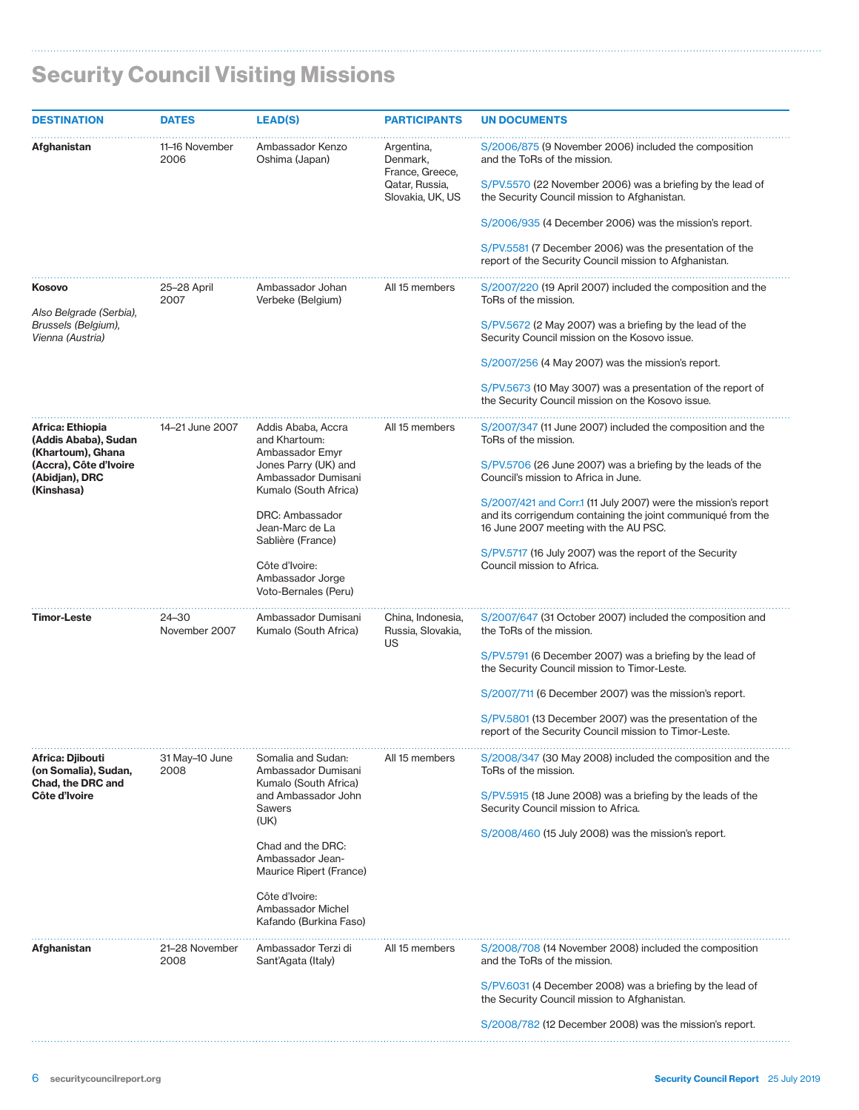| <b>DESTINATION</b>                                                                                                      | <b>DATES</b>           | <b>LEAD(S)</b>                                                                                                                                                                                                                                               | <b>PARTICIPANTS</b>                                                             | <b>UN DOCUMENTS</b>                                                                                                                                                                                                                                                                                                                                                                                                                                           |
|-------------------------------------------------------------------------------------------------------------------------|------------------------|--------------------------------------------------------------------------------------------------------------------------------------------------------------------------------------------------------------------------------------------------------------|---------------------------------------------------------------------------------|---------------------------------------------------------------------------------------------------------------------------------------------------------------------------------------------------------------------------------------------------------------------------------------------------------------------------------------------------------------------------------------------------------------------------------------------------------------|
| Afghanistan                                                                                                             | 11-16 November<br>2006 | Ambassador Kenzo<br>Oshima (Japan)                                                                                                                                                                                                                           | Argentina,<br>Denmark,<br>France, Greece,<br>Qatar, Russia,<br>Slovakia, UK, US | S/2006/875 (9 November 2006) included the composition<br>and the ToRs of the mission.<br>S/PV.5570 (22 November 2006) was a briefing by the lead of<br>the Security Council mission to Afghanistan.<br>S/2006/935 (4 December 2006) was the mission's report.<br>S/PV.5581 (7 December 2006) was the presentation of the<br>report of the Security Council mission to Afghanistan.                                                                            |
| Kosovo<br>Also Belgrade (Serbia),<br>Brussels (Belgium),<br>Vienna (Austria)                                            | 25-28 April<br>2007    | Ambassador Johan<br>Verbeke (Belgium)                                                                                                                                                                                                                        | All 15 members                                                                  | S/2007/220 (19 April 2007) included the composition and the<br>ToRs of the mission.<br>S/PV.5672 (2 May 2007) was a briefing by the lead of the<br>Security Council mission on the Kosovo issue.<br>S/2007/256 (4 May 2007) was the mission's report.<br>S/PV.5673 (10 May 3007) was a presentation of the report of<br>the Security Council mission on the Kosovo issue.                                                                                     |
| Africa: Ethiopia<br>(Addis Ababa), Sudan<br>(Khartoum), Ghana<br>(Accra), Côte d'Ivoire<br>(Abidjan), DRC<br>(Kinshasa) | 14-21 June 2007        | Addis Ababa, Accra<br>and Khartoum:<br>Ambassador Emyr<br>Jones Parry (UK) and<br>Ambassador Dumisani<br>Kumalo (South Africa)<br>DRC: Ambassador<br>Jean-Marc de La<br>Sablière (France)<br>Côte d'Ivoire:<br>Ambassador Jorge<br>Voto-Bernales (Peru)      | All 15 members                                                                  | S/2007/347 (11 June 2007) included the composition and the<br>ToRs of the mission.<br>S/PV.5706 (26 June 2007) was a briefing by the leads of the<br>Council's mission to Africa in June.<br>S/2007/421 and Corr.1 (11 July 2007) were the mission's report<br>and its corrigendum containing the joint communiqué from the<br>16 June 2007 meeting with the AU PSC.<br>S/PV.5717 (16 July 2007) was the report of the Security<br>Council mission to Africa. |
| <b>Timor-Leste</b>                                                                                                      | 24-30<br>November 2007 | Ambassador Dumisani<br>Kumalo (South Africa)                                                                                                                                                                                                                 | China, Indonesia,<br>Russia, Slovakia,<br>US                                    | S/2007/647 (31 October 2007) included the composition and<br>the ToRs of the mission.<br>S/PV.5791 (6 December 2007) was a briefing by the lead of<br>the Security Council mission to Timor-Leste.<br>S/2007/711 (6 December 2007) was the mission's report.<br>S/PV.5801 (13 December 2007) was the presentation of the<br>report of the Security Council mission to Timor-Leste.                                                                            |
| Africa: Djibouti<br>(on Somalia), Sudan,<br>Chad, the DRC and<br>Côte d'Ivoire                                          | 31 May-10 June<br>2008 | Somalia and Sudan:<br>Ambassador Dumisani<br>Kumalo (South Africa)<br>and Ambassador John<br><b>Sawers</b><br>(UK)<br>Chad and the DRC:<br>Ambassador Jean-<br>Maurice Ripert (France)<br>Côte d'Ivoire:<br>Ambassador Michel<br>Kafando (Burkina Faso)<br>. | All 15 members                                                                  | S/2008/347 (30 May 2008) included the composition and the<br>ToRs of the mission.<br>S/PV.5915 (18 June 2008) was a briefing by the leads of the<br>Security Council mission to Africa.<br>S/2008/460 (15 July 2008) was the mission's report.                                                                                                                                                                                                                |
| Afghanistan                                                                                                             | 21-28 November<br>2008 | Ambassador Terzi di<br>Sant'Agata (Italy)                                                                                                                                                                                                                    | All 15 members                                                                  | S/2008/708 (14 November 2008) included the composition<br>and the ToRs of the mission.<br>S/PV.6031 (4 December 2008) was a briefing by the lead of<br>the Security Council mission to Afghanistan.<br>S/2008/782 (12 December 2008) was the mission's report.                                                                                                                                                                                                |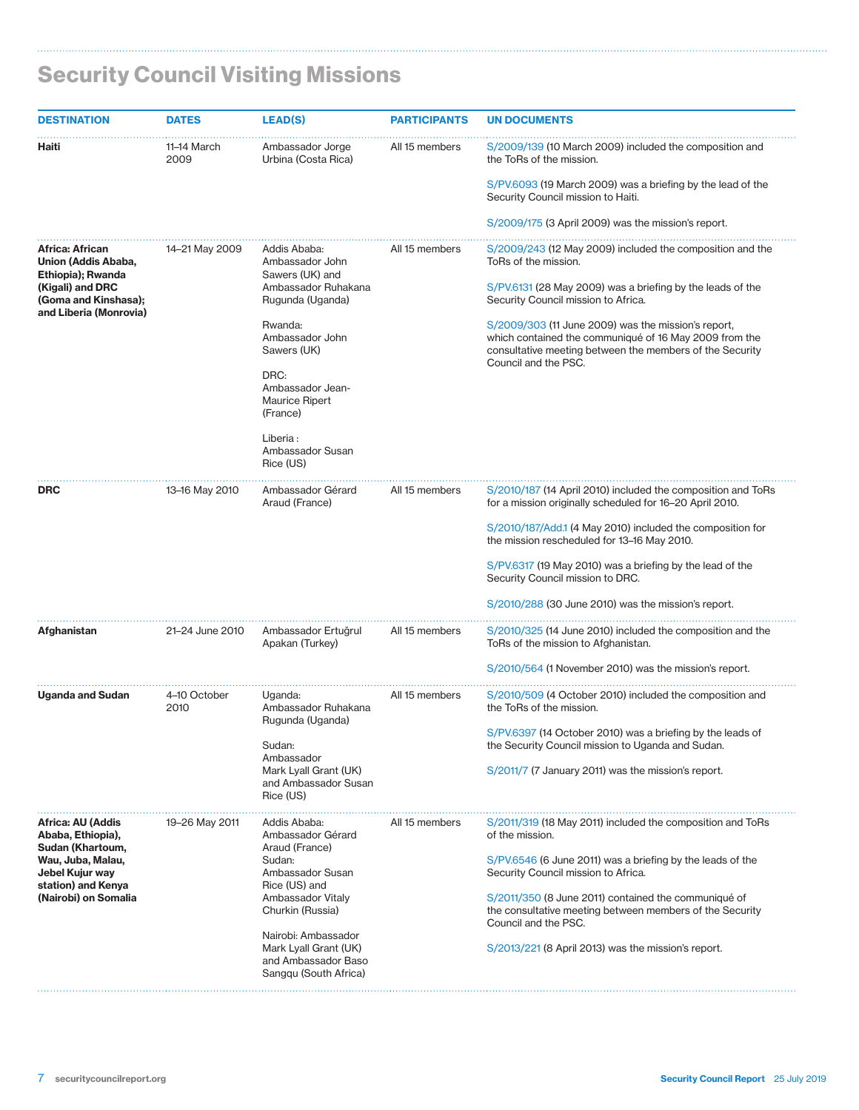| <b>DESTINATION</b>                                                              | <b>DATES</b>         | <b>LEAD(S)</b>                                                                               | <b>PARTICIPANTS</b> | <b>UN DOCUMENTS</b>                                                                                                                                                                               |
|---------------------------------------------------------------------------------|----------------------|----------------------------------------------------------------------------------------------|---------------------|---------------------------------------------------------------------------------------------------------------------------------------------------------------------------------------------------|
| Haiti                                                                           | 11–14 March<br>2009  | Ambassador Jorge<br>Urbina (Costa Rica)                                                      | All 15 members      | S/2009/139 (10 March 2009) included the composition and<br>the ToRs of the mission.                                                                                                               |
|                                                                                 |                      |                                                                                              |                     | S/PV.6093 (19 March 2009) was a briefing by the lead of the<br>Security Council mission to Haiti.                                                                                                 |
|                                                                                 |                      |                                                                                              |                     | S/2009/175 (3 April 2009) was the mission's report.                                                                                                                                               |
| Africa: African<br>Union (Addis Ababa,<br>Ethiopia); Rwanda<br>(Kigali) and DRC | 14-21 May 2009       | Addis Ababa:<br>Ambassador John<br>Sawers (UK) and<br>Ambassador Ruhakana                    | All 15 members      | S/2009/243 (12 May 2009) included the composition and the<br>ToRs of the mission.<br>S/PV.6131 (28 May 2009) was a briefing by the leads of the                                                   |
| (Goma and Kinshasa);<br>and Liberia (Monrovia)                                  |                      | Rugunda (Uganda)                                                                             |                     | Security Council mission to Africa.                                                                                                                                                               |
|                                                                                 |                      | Rwanda:<br>Ambassador John<br>Sawers (UK)                                                    |                     | S/2009/303 (11 June 2009) was the mission's report,<br>which contained the communiqué of 16 May 2009 from the<br>consultative meeting between the members of the Security<br>Council and the PSC. |
|                                                                                 |                      | DRC:<br>Ambassador Jean-<br><b>Maurice Ripert</b><br>(France)                                |                     |                                                                                                                                                                                                   |
|                                                                                 |                      | Liberia:<br>Ambassador Susan<br>Rice (US)                                                    |                     |                                                                                                                                                                                                   |
| DRC                                                                             | 13-16 May 2010       | Ambassador Gérard<br>Araud (France)                                                          | All 15 members      | S/2010/187 (14 April 2010) included the composition and ToRs<br>for a mission originally scheduled for 16–20 April 2010.                                                                          |
|                                                                                 |                      |                                                                                              |                     | S/2010/187/Add.1 (4 May 2010) included the composition for<br>the mission rescheduled for 13-16 May 2010.                                                                                         |
|                                                                                 |                      |                                                                                              |                     | S/PV.6317 (19 May 2010) was a briefing by the lead of the<br>Security Council mission to DRC.                                                                                                     |
|                                                                                 |                      |                                                                                              |                     | S/2010/288 (30 June 2010) was the mission's report.                                                                                                                                               |
| Afghanistan                                                                     | 21-24 June 2010      | Ambassador Ertuğrul<br>Apakan (Turkey)                                                       | All 15 members      | S/2010/325 (14 June 2010) included the composition and the<br>ToRs of the mission to Afghanistan.                                                                                                 |
|                                                                                 |                      |                                                                                              |                     | S/2010/564 (1 November 2010) was the mission's report.                                                                                                                                            |
| <b>Uganda and Sudan</b>                                                         | 4-10 October<br>2010 | Uganda:<br>Ambassador Ruhakana                                                               | All 15 members      | S/2010/509 (4 October 2010) included the composition and<br>the ToRs of the mission.                                                                                                              |
|                                                                                 |                      | Rugunda (Uganda)<br>Sudan:<br>Ambassador                                                     |                     | S/PV.6397 (14 October 2010) was a briefing by the leads of<br>the Security Council mission to Uganda and Sudan.                                                                                   |
|                                                                                 |                      | Mark Lyall Grant (UK)<br>and Ambassador Susan<br>Rice (US)                                   |                     | S/2011/7 (7 January 2011) was the mission's report.                                                                                                                                               |
| Africa: AU (Addis<br>Ababa, Ethiopia),<br>Sudan (Khartoum,                      | 19-26 May 2011       | Addis Ababa:<br>Ambassador Gérard<br>Araud (France)                                          | All 15 members      | S/2011/319 (18 May 2011) included the composition and ToRs<br>of the mission.                                                                                                                     |
| Wau, Juba, Malau,<br>Jebel Kujur way<br>station) and Kenya                      |                      | Sudan:<br>Ambassador Susan<br>Rice (US) and                                                  |                     | S/PV.6546 (6 June 2011) was a briefing by the leads of the<br>Security Council mission to Africa.                                                                                                 |
| (Nairobi) on Somalia                                                            |                      | Ambassador Vitaly<br>Churkin (Russia)                                                        |                     | S/2011/350 (8 June 2011) contained the communiqué of<br>the consultative meeting between members of the Security<br>Council and the PSC.                                                          |
|                                                                                 |                      | Nairobi: Ambassador<br>Mark Lyall Grant (UK)<br>and Ambassador Baso<br>Sangqu (South Africa) |                     | S/2013/221 (8 April 2013) was the mission's report.                                                                                                                                               |

# Security Council Visiting Missions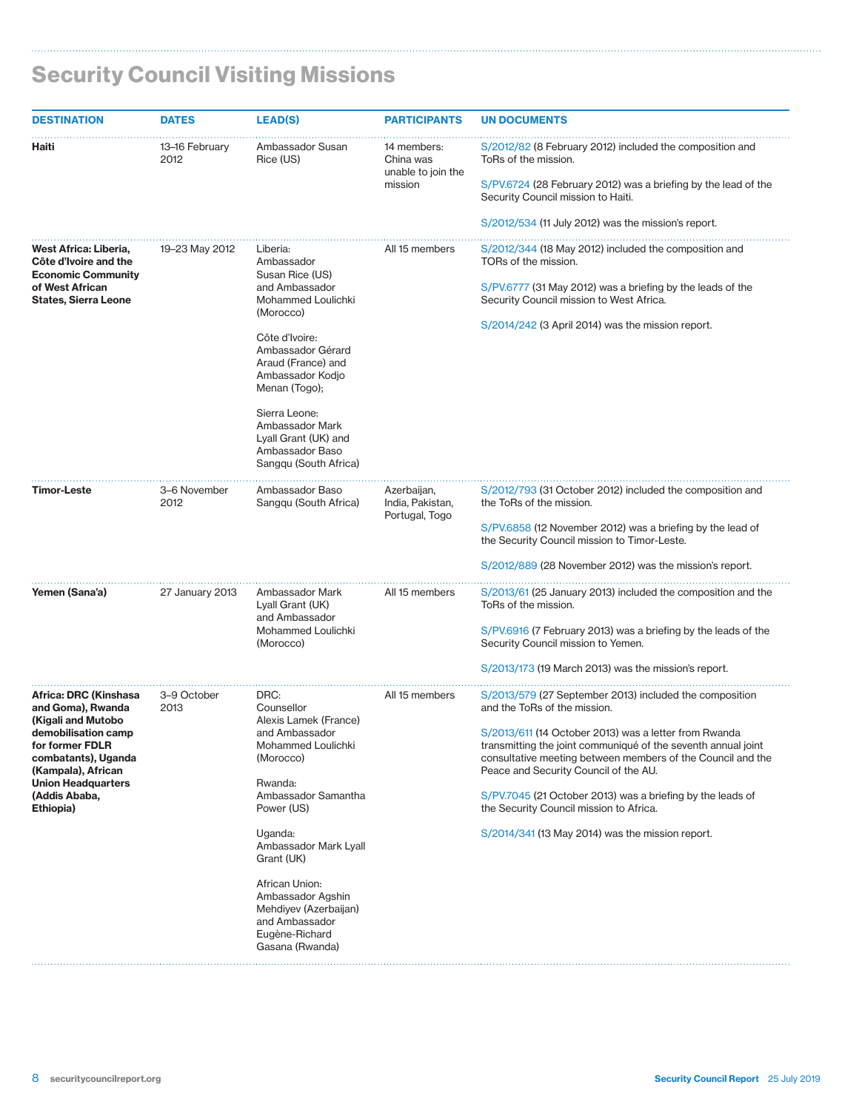| <b>DESTINATION</b>                                                                                                                                                                                                 | <b>DATES</b>           | <b>LEAD(S)</b>                                                                                                                                                                                                                                                                                                            | <b>PARTICIPANTS</b>                                       | <b>UN DOCUMENTS</b>                                                                                                                                                                                                                                                                                                                                                                                                                                                                    |
|--------------------------------------------------------------------------------------------------------------------------------------------------------------------------------------------------------------------|------------------------|---------------------------------------------------------------------------------------------------------------------------------------------------------------------------------------------------------------------------------------------------------------------------------------------------------------------------|-----------------------------------------------------------|----------------------------------------------------------------------------------------------------------------------------------------------------------------------------------------------------------------------------------------------------------------------------------------------------------------------------------------------------------------------------------------------------------------------------------------------------------------------------------------|
| Haiti                                                                                                                                                                                                              | 13–16 February<br>2012 | Ambassador Susan<br>Rice (US)                                                                                                                                                                                                                                                                                             | 14 members:<br>China was<br>unable to join the<br>mission | S/2012/82 (8 February 2012) included the composition and<br>ToRs of the mission.<br>S/PV.6724 (28 February 2012) was a briefing by the lead of the<br>Security Council mission to Haiti.<br>S/2012/534 (11 July 2012) was the mission's report.                                                                                                                                                                                                                                        |
| West Africa: Liberia,<br>Côte d'Ivoire and the<br><b>Economic Community</b><br>of West African<br><b>States, Sierra Leone</b>                                                                                      | 19-23 May 2012         | Liberia:<br>Ambassador<br>Susan Rice (US)<br>and Ambassador<br>Mohammed Loulichki<br>(Morocco)<br>Côte d'Ivoire:<br>Ambassador Gérard<br>Araud (France) and<br>Ambassador Kodjo<br>Menan (Togo);<br>Sierra Leone:<br>Ambassador Mark<br>Lyall Grant (UK) and<br>Ambassador Baso<br>Sangqu (South Africa)                  | All 15 members                                            | S/2012/344 (18 May 2012) included the composition and<br>TORs of the mission.<br>S/PV.6777 (31 May 2012) was a briefing by the leads of the<br>Security Council mission to West Africa.<br>S/2014/242 (3 April 2014) was the mission report.                                                                                                                                                                                                                                           |
| <b>Timor-Leste</b>                                                                                                                                                                                                 | 3-6 November<br>2012   | Ambassador Baso<br>Sangqu (South Africa)                                                                                                                                                                                                                                                                                  | Azerbaijan,<br>India, Pakistan,<br>Portugal, Togo         | S/2012/793 (31 October 2012) included the composition and<br>the ToRs of the mission.<br>S/PV.6858 (12 November 2012) was a briefing by the lead of<br>the Security Council mission to Timor-Leste.<br>S/2012/889 (28 November 2012) was the mission's report.                                                                                                                                                                                                                         |
| Yemen (Sana'a)                                                                                                                                                                                                     | 27 January 2013        | Ambassador Mark<br>Lyall Grant (UK)<br>and Ambassador<br>Mohammed Loulichki<br>(Morocco)                                                                                                                                                                                                                                  | All 15 members                                            | S/2013/61 (25 January 2013) included the composition and the<br>ToRs of the mission.<br>S/PV.6916 (7 February 2013) was a briefing by the leads of the<br>Security Council mission to Yemen.<br>S/2013/173 (19 March 2013) was the mission's report.                                                                                                                                                                                                                                   |
| Africa: DRC (Kinshasa<br>and Goma), Rwanda<br>(Kigali and Mutobo<br>demobilisation camp<br>for former FDLR<br>combatants), Uganda<br>(Kampala), African<br><b>Union Headquarters</b><br>(Addis Ababa,<br>Ethiopia) | 3-9 October<br>2013    | DRC:<br>Counsellor<br>Alexis Lamek (France)<br>and Ambassador<br>Mohammed Loulichki<br>(Morocco)<br>Rwanda:<br>Ambassador Samantha<br>Power (US)<br>Uganda:<br>Ambassador Mark Lyall<br>Grant (UK)<br>African Union:<br>Ambassador Agshin<br>Mehdiyev (Azerbaijan)<br>and Ambassador<br>Eugène-Richard<br>Gasana (Rwanda) | All 15 members                                            | S/2013/579 (27 September 2013) included the composition<br>and the ToRs of the mission.<br>S/2013/611 (14 October 2013) was a letter from Rwanda<br>transmitting the joint communiqué of the seventh annual joint<br>consultative meeting between members of the Council and the<br>Peace and Security Council of the AU.<br>S/PV.7045 (21 October 2013) was a briefing by the leads of<br>the Security Council mission to Africa.<br>S/2014/341 (13 May 2014) was the mission report. |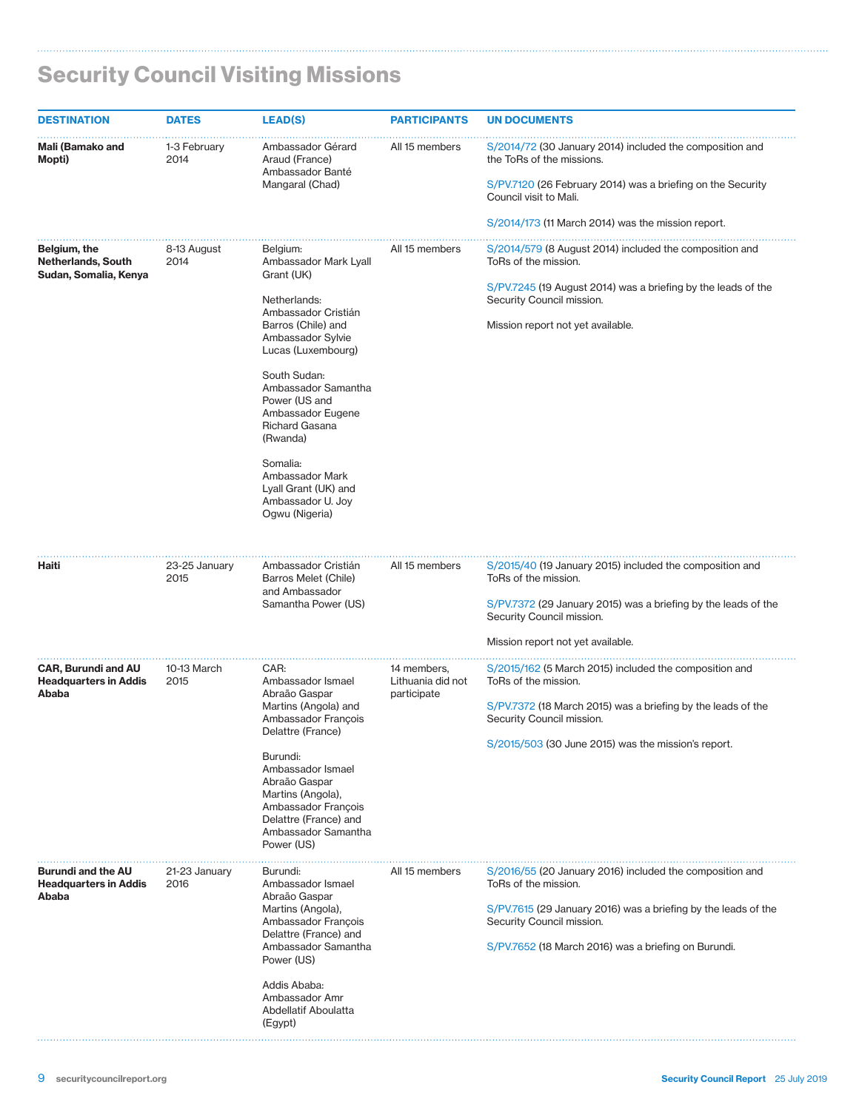| <b>DESTINATION</b>                                                 | <b>DATES</b>          | <b>LEAD(S)</b>                                                                                                                                           | <b>PARTICIPANTS</b>                             | <b>UN DOCUMENTS</b>                                                                                                                                                                                                  |
|--------------------------------------------------------------------|-----------------------|----------------------------------------------------------------------------------------------------------------------------------------------------------|-------------------------------------------------|----------------------------------------------------------------------------------------------------------------------------------------------------------------------------------------------------------------------|
| Mali (Bamako and<br>Mopti)                                         | 1-3 February<br>2014  | Ambassador Gérard<br>Araud (France)<br>Ambassador Banté                                                                                                  | All 15 members                                  | S/2014/72 (30 January 2014) included the composition and<br>the ToRs of the missions.                                                                                                                                |
|                                                                    |                       | Mangaral (Chad)                                                                                                                                          |                                                 | S/PV.7120 (26 February 2014) was a briefing on the Security<br>Council visit to Mali.                                                                                                                                |
|                                                                    |                       |                                                                                                                                                          |                                                 | S/2014/173 (11 March 2014) was the mission report.                                                                                                                                                                   |
| Belgium, the<br><b>Netherlands, South</b><br>Sudan, Somalia, Kenya | 8-13 August<br>2014   | Belgium:<br>Ambassador Mark Lyall<br>Grant (UK)                                                                                                          | All 15 members                                  | S/2014/579 (8 August 2014) included the composition and<br>ToRs of the mission.                                                                                                                                      |
|                                                                    |                       | Netherlands:                                                                                                                                             |                                                 | S/PV.7245 (19 August 2014) was a briefing by the leads of the<br>Security Council mission.                                                                                                                           |
|                                                                    |                       | Ambassador Cristián<br>Barros (Chile) and<br>Ambassador Sylvie<br>Lucas (Luxembourg)                                                                     |                                                 | Mission report not yet available.                                                                                                                                                                                    |
|                                                                    |                       | South Sudan:<br>Ambassador Samantha<br>Power (US and<br>Ambassador Eugene<br>Richard Gasana<br>(Rwanda)                                                  |                                                 |                                                                                                                                                                                                                      |
|                                                                    |                       | Somalia:<br>Ambassador Mark<br>Lyall Grant (UK) and<br>Ambassador U. Joy<br>Ogwu (Nigeria)                                                               |                                                 |                                                                                                                                                                                                                      |
| Haiti                                                              | 23-25 January<br>2015 | Ambassador Cristián<br>Barros Melet (Chile)<br>and Ambassador<br>Samantha Power (US)                                                                     | All 15 members                                  | S/2015/40 (19 January 2015) included the composition and<br>ToRs of the mission.<br>S/PV.7372 (29 January 2015) was a briefing by the leads of the<br>Security Council mission.<br>Mission report not yet available. |
| <b>CAR, Burundi and AU</b><br><b>Headquarters in Addis</b>         | 10-13 March<br>2015   | CAR:<br>Ambassador Ismael                                                                                                                                | 14 members,<br>Lithuania did not<br>participate | S/2015/162 (5 March 2015) included the composition and<br>ToRs of the mission.                                                                                                                                       |
| Ababa                                                              | Delattre (France)     | Abraão Gaspar<br>Martins (Angola) and<br>Ambassador François                                                                                             |                                                 | S/PV.7372 (18 March 2015) was a briefing by the leads of the<br>Security Council mission.                                                                                                                            |
|                                                                    |                       | Burundi:<br>Ambassador Ismael<br>Abraão Gaspar<br>Martins (Angola),<br>Ambassador François<br>Delattre (France) and<br>Ambassador Samantha<br>Power (US) |                                                 | S/2015/503 (30 June 2015) was the mission's report.                                                                                                                                                                  |
| <b>Burundi and the AU</b><br><b>Headquarters in Addis</b>          | 21-23 January<br>2016 | Burundi:<br>Ambassador Ismael                                                                                                                            | All 15 members                                  | S/2016/55 (20 January 2016) included the composition and<br>ToRs of the mission.                                                                                                                                     |
| Ababa                                                              |                       | Abraão Gaspar<br>Martins (Angola),<br>Ambassador François                                                                                                |                                                 | S/PV.7615 (29 January 2016) was a briefing by the leads of the<br>Security Council mission.                                                                                                                          |
|                                                                    |                       | Delattre (France) and<br>Ambassador Samantha<br>Power (US)                                                                                               |                                                 | S/PV.7652 (18 March 2016) was a briefing on Burundi.                                                                                                                                                                 |
|                                                                    |                       | Addis Ababa:<br>Ambassador Amr<br>Abdellatif Aboulatta<br>(Egypt)                                                                                        |                                                 |                                                                                                                                                                                                                      |

#### Security Council Visiting Missions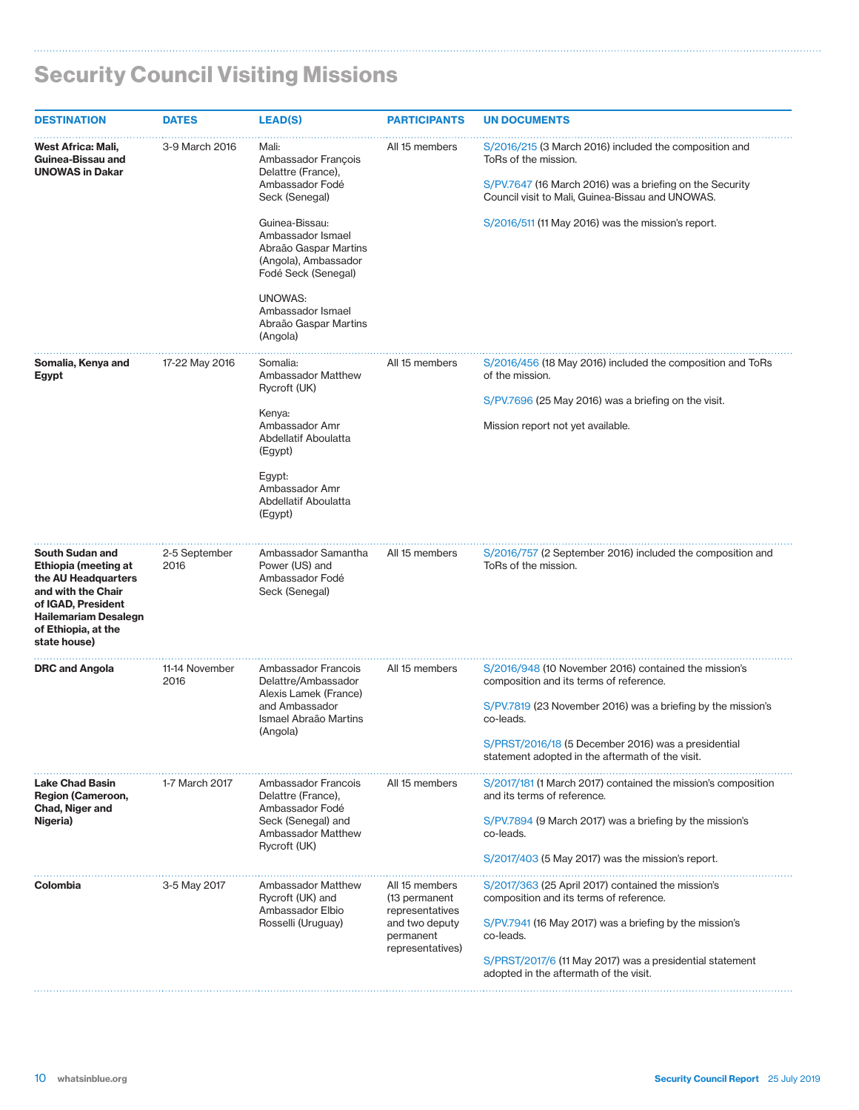| <b>DESTINATION</b>                                                                                                                                                               | <b>DATES</b>           | <b>LEAD(S)</b>                                                                                                                                                                                                                                                              | <b>PARTICIPANTS</b>                                                                                   | <b>UN DOCUMENTS</b>                                                                                                                                                                                                                                                                      |
|----------------------------------------------------------------------------------------------------------------------------------------------------------------------------------|------------------------|-----------------------------------------------------------------------------------------------------------------------------------------------------------------------------------------------------------------------------------------------------------------------------|-------------------------------------------------------------------------------------------------------|------------------------------------------------------------------------------------------------------------------------------------------------------------------------------------------------------------------------------------------------------------------------------------------|
| West Africa: Mali,<br>Guinea-Bissau and<br><b>UNOWAS in Dakar</b>                                                                                                                | 3-9 March 2016         | Mali:<br>Ambassador François<br>Delattre (France),<br>Ambassador Fodé<br>Seck (Senegal)<br>Guinea-Bissau:<br>Ambassador Ismael<br>Abraão Gaspar Martins<br>(Angola), Ambassador<br>Fodé Seck (Senegal)<br>UNOWAS:<br>Ambassador Ismael<br>Abraão Gaspar Martins<br>(Angola) | All 15 members                                                                                        | S/2016/215 (3 March 2016) included the composition and<br>ToRs of the mission.<br>S/PV.7647 (16 March 2016) was a briefing on the Security<br>Council visit to Mali, Guinea-Bissau and UNOWAS.<br>S/2016/511 (11 May 2016) was the mission's report.                                     |
| Somalia, Kenya and<br>Egypt                                                                                                                                                      | 17-22 May 2016         | Somalia:<br>Ambassador Matthew<br>Rycroft (UK)<br>Kenya:<br>Ambassador Amr<br>Abdellatif Aboulatta<br>(Egypt)<br>Egypt:<br>Ambassador Amr<br>Abdellatif Aboulatta<br>(Egypt)                                                                                                | All 15 members                                                                                        | S/2016/456 (18 May 2016) included the composition and ToRs<br>of the mission.<br>S/PV.7696 (25 May 2016) was a briefing on the visit.<br>Mission report not yet available.                                                                                                               |
| South Sudan and<br>Ethiopia (meeting at<br>the AU Headquarters<br>and with the Chair<br>of IGAD, President<br><b>Hailemariam Desalegn</b><br>of Ethiopia, at the<br>state house) | 2-5 September<br>2016  | Ambassador Samantha<br>Power (US) and<br>Ambassador Fodé<br>Seck (Senegal)                                                                                                                                                                                                  | All 15 members                                                                                        | S/2016/757 (2 September 2016) included the composition and<br>ToRs of the mission.                                                                                                                                                                                                       |
| <b>DRC and Angola</b>                                                                                                                                                            | 11-14 November<br>2016 | Ambassador Francois<br>Delattre/Ambassador<br>Alexis Lamek (France)<br>and Ambassador<br>Ismael Abraão Martins<br>(Angola)                                                                                                                                                  | All 15 members                                                                                        | S/2016/948 (10 November 2016) contained the mission's<br>composition and its terms of reference.<br>S/PV.7819 (23 November 2016) was a briefing by the mission's<br>co-leads.<br>S/PRST/2016/18 (5 December 2016) was a presidential<br>statement adopted in the aftermath of the visit. |
| <b>Lake Chad Basin</b><br>Region (Cameroon,<br>Chad, Niger and<br>Nigeria)                                                                                                       | 1-7 March 2017         | Ambassador Francois<br>Delattre (France),<br>Ambassador Fodé<br>Seck (Senegal) and<br>Ambassador Matthew<br>Rycroft (UK)                                                                                                                                                    | All 15 members                                                                                        | S/2017/181 (1 March 2017) contained the mission's composition<br>and its terms of reference.<br>S/PV.7894 (9 March 2017) was a briefing by the mission's<br>co-leads.<br>S/2017/403 (5 May 2017) was the mission's report.                                                               |
| Colombia                                                                                                                                                                         | 3-5 May 2017           | <b>Ambassador Matthew</b><br>Rycroft (UK) and<br>Ambassador Elbio<br>Rosselli (Uruguay)                                                                                                                                                                                     | All 15 members<br>(13 permanent<br>representatives<br>and two deputy<br>permanent<br>representatives) | S/2017/363 (25 April 2017) contained the mission's<br>composition and its terms of reference.<br>S/PV.7941 (16 May 2017) was a briefing by the mission's<br>co-leads.<br>S/PRST/2017/6 (11 May 2017) was a presidential statement<br>adopted in the aftermath of the visit.              |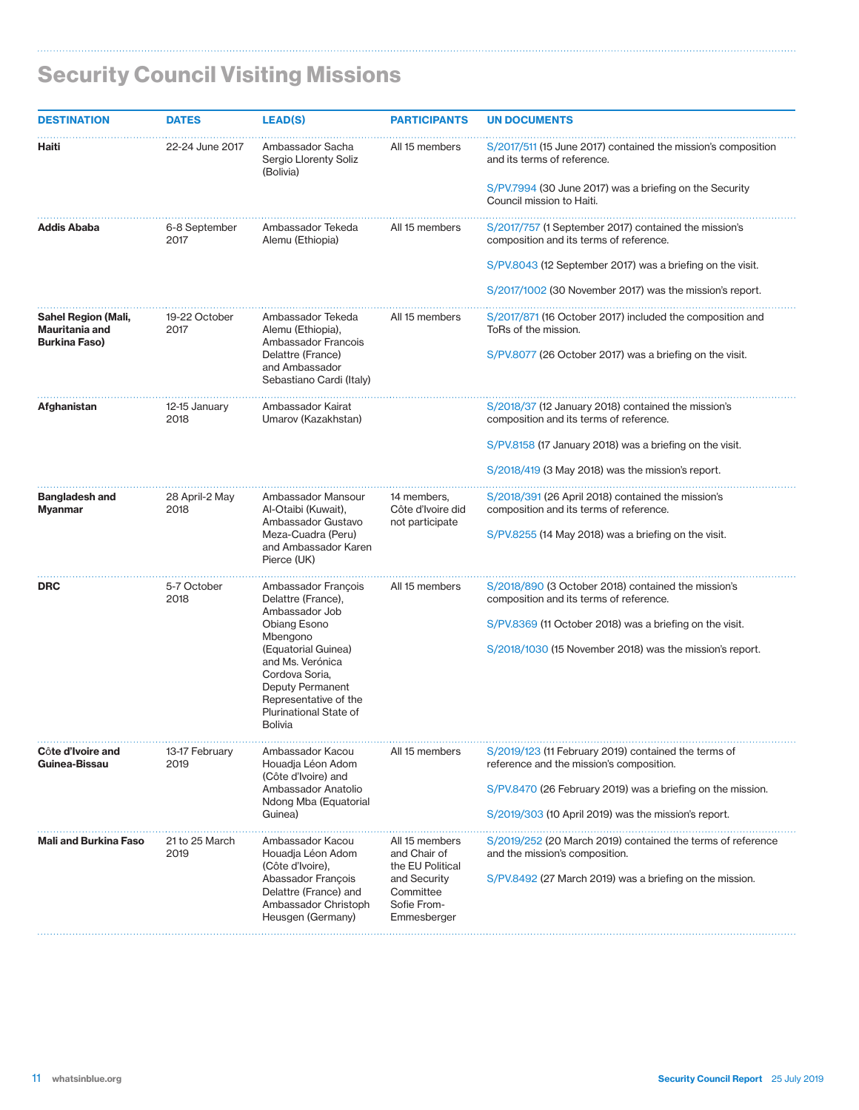$\ddotsc$ 

| <b>DESTINATION</b>                                            | <b>DATES</b>                                                     | <b>LEAD(S)</b>                                                                                                                                     | <b>PARTICIPANTS</b>                                     | <b>UN DOCUMENTS</b>                                                                              |
|---------------------------------------------------------------|------------------------------------------------------------------|----------------------------------------------------------------------------------------------------------------------------------------------------|---------------------------------------------------------|--------------------------------------------------------------------------------------------------|
| Haiti                                                         | 22-24 June 2017                                                  | Ambassador Sacha<br>Sergio Llorenty Soliz<br>(Bolivia)                                                                                             | All 15 members                                          | S/2017/511 (15 June 2017) contained the mission's composition<br>and its terms of reference.     |
|                                                               |                                                                  |                                                                                                                                                    |                                                         | S/PV.7994 (30 June 2017) was a briefing on the Security<br>Council mission to Haiti.             |
| Addis Ababa                                                   | 6-8 September<br>2017                                            | Ambassador Tekeda<br>Alemu (Ethiopia)                                                                                                              | All 15 members                                          | S/2017/757 (1 September 2017) contained the mission's<br>composition and its terms of reference. |
|                                                               |                                                                  |                                                                                                                                                    |                                                         | S/PV.8043 (12 September 2017) was a briefing on the visit.                                       |
|                                                               |                                                                  |                                                                                                                                                    |                                                         | S/2017/1002 (30 November 2017) was the mission's report.                                         |
| Sahel Region (Mali,<br>Mauritania and<br><b>Burkina Faso)</b> | 19-22 October<br>2017                                            | Ambassador Tekeda<br>Alemu (Ethiopia),<br>Ambassador Francois                                                                                      | All 15 members                                          | S/2017/871 (16 October 2017) included the composition and<br>ToRs of the mission.                |
|                                                               |                                                                  | Delattre (France)<br>and Ambassador<br>Sebastiano Cardi (Italy)                                                                                    |                                                         | S/PV.8077 (26 October 2017) was a briefing on the visit.                                         |
| Afghanistan                                                   | 12-15 January<br>2018                                            | Ambassador Kairat<br>Umarov (Kazakhstan)                                                                                                           |                                                         | S/2018/37 (12 January 2018) contained the mission's<br>composition and its terms of reference.   |
|                                                               |                                                                  |                                                                                                                                                    |                                                         | S/PV.8158 (17 January 2018) was a briefing on the visit.                                         |
|                                                               |                                                                  |                                                                                                                                                    |                                                         | S/2018/419 (3 May 2018) was the mission's report.                                                |
| Bangladesh and<br>Myanmar                                     | 28 April-2 May<br>2018                                           | Ambassador Mansour<br>Al-Otaibi (Kuwait),<br>Ambassador Gustavo                                                                                    | 14 members,<br>Côte d'Ivoire did<br>not participate     | S/2018/391 (26 April 2018) contained the mission's<br>composition and its terms of reference.    |
|                                                               |                                                                  | Meza-Cuadra (Peru)<br>and Ambassador Karen<br>Pierce (UK)                                                                                          |                                                         | S/PV.8255 (14 May 2018) was a briefing on the visit.                                             |
| <b>DRC</b>                                                    | 5-7 October<br>2018                                              | Ambassador François<br>Delattre (France),<br>Ambassador Job<br>Obiang Esono<br>Mbengono                                                            | All 15 members                                          | S/2018/890 (3 October 2018) contained the mission's<br>composition and its terms of reference.   |
|                                                               |                                                                  |                                                                                                                                                    |                                                         | S/PV.8369 (11 October 2018) was a briefing on the visit.                                         |
|                                                               |                                                                  | (Equatorial Guinea)<br>and Ms. Verónica<br>Cordova Soria,<br>Deputy Permanent<br>Representative of the<br>Plurinational State of<br><b>Bolivia</b> |                                                         | S/2018/1030 (15 November 2018) was the mission's report.                                         |
| Côte d'Ivoire and<br>Guinea-Bissau                            | 13-17 February<br>2019                                           | Ambassador Kacou<br>Houadja Léon Adom<br>(Côte d'Ivoire) and                                                                                       | All 15 members                                          | S/2019/123 (11 February 2019) contained the terms of<br>reference and the mission's composition. |
|                                                               |                                                                  | Ambassador Anatolio<br>Ndong Mba (Equatorial                                                                                                       |                                                         | S/PV.8470 (26 February 2019) was a briefing on the mission.                                      |
|                                                               |                                                                  | Guinea)                                                                                                                                            |                                                         | S/2019/303 (10 April 2019) was the mission's report.                                             |
| <b>Mali and Burkina Faso</b>                                  | 21 to 25 March<br>2019                                           | Ambassador Kacou<br>Houadja Léon Adom<br>(Côte d'Ivoire),                                                                                          | All 15 members<br>and Chair of<br>the EU Political      | S/2019/252 (20 March 2019) contained the terms of reference<br>and the mission's composition.    |
|                                                               | Abassador François<br>Delattre (France) and<br>Heusgen (Germany) | Ambassador Christoph                                                                                                                               | and Security<br>Committee<br>Sofie From-<br>Emmesberger | S/PV.8492 (27 March 2019) was a briefing on the mission.                                         |